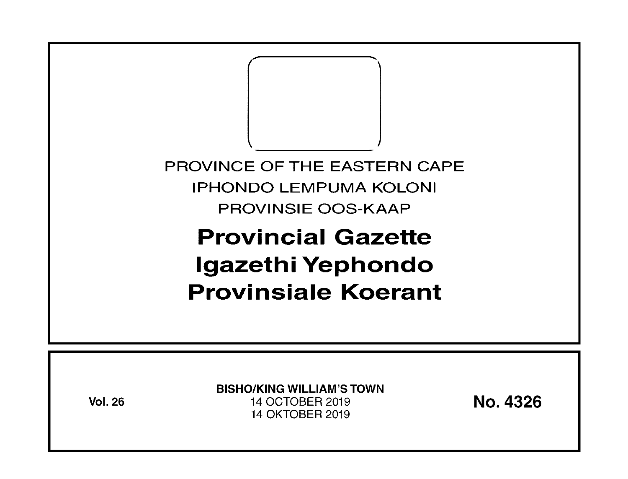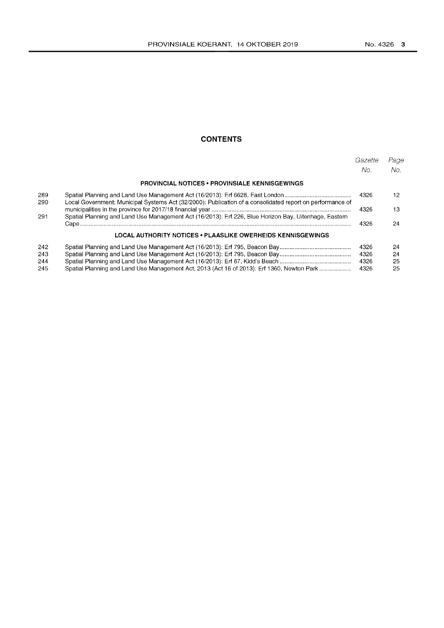# **CONTENTS**

|            |                                                                                                                                                                                            | Gazette<br>No. | Page<br>$N_{\Omega}$ |
|------------|--------------------------------------------------------------------------------------------------------------------------------------------------------------------------------------------|----------------|----------------------|
|            | <b>PROVINCIAL NOTICES • PROVINSIALE KENNISGEWINGS</b>                                                                                                                                      |                |                      |
| 289<br>290 | Spatial Planning and Land Use Management Act (16/2013): Erf 6628, East London<br>Local Government: Municipal Systems Act (32/2000): Publication of a consolidated report on performance of | 4326           | 12                   |
| 291        | Spatial Planning and Land Use Management Act (16/2013): Erf 226, Blue Horizon Bay, Uitenhage, Eastern                                                                                      | 4326           | 13                   |
|            |                                                                                                                                                                                            | 4326           | 24                   |
|            | LOCAL AUTHORITY NOTICES • PLAASLIKE OWERHEIDS KENNISGEWINGS                                                                                                                                |                |                      |
| 242        |                                                                                                                                                                                            | 4326           | 24                   |
| 243        |                                                                                                                                                                                            | 4326           | 24                   |
| 244        |                                                                                                                                                                                            | 4326           | 25                   |
| 245        | Spatial Planning and Land Use Management Act, 2013 (Act 16 of 2013): Erf 1360, Newton Park                                                                                                 | 4326           | 25                   |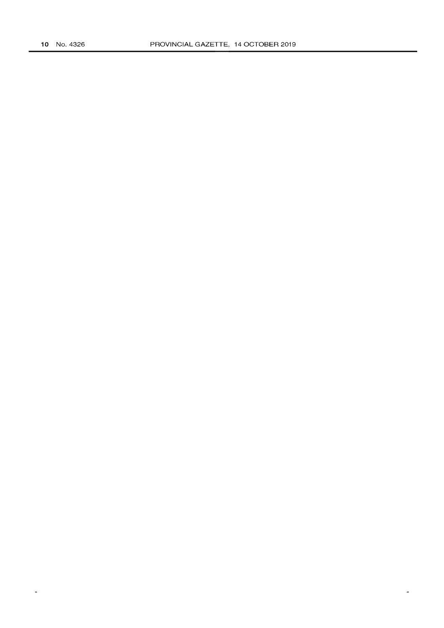$\Box$ 

 $\overline{\phantom{a}}$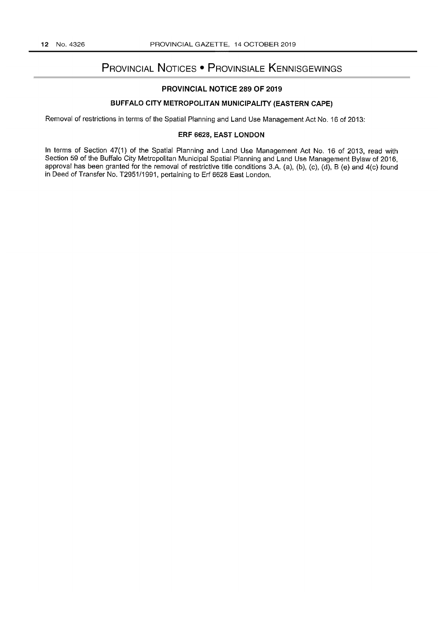# **PROVINCIAL NOTICES • PROVINSIALE KENNISGEWINGS**

# **PROVINCIAL NOTICE 289 OF 2019**

## **BUFFALO CITY METROPOLITAN MUNICIPALITY (EASTERN CAPE)**

Removal of restrictions in terms of the Spatial Planning and Land Use Management Act No. 16 of 2013:

#### **ERF 6628, EAST LONDON**

In terms of Section 47(1) of the Spatial Planning and Land Use Management Act No. 16 of 2013, read with Section 59 of the Buffalo City Metropolitan Municipal Spatial Planning and Land Use Management Bylaw of 2016, approval has been granted for the removal of restrictive title conditions 3.A. (a), (b), (c), (d), B (e) and 4(c) found in Deed of Transfer No. T2951/1 991, pertaining to Erf 6628 East London.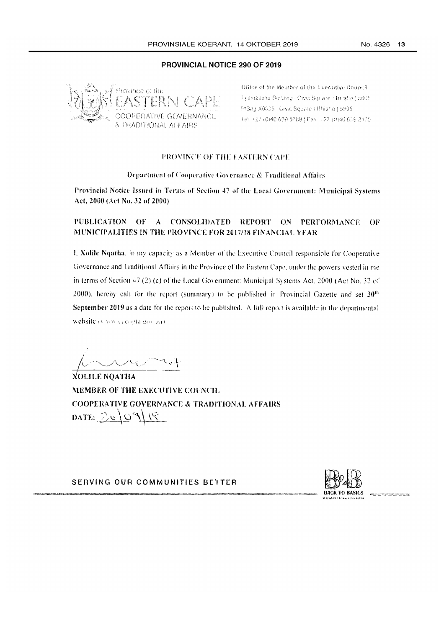# **PROVINCIAL NOTICE** 290 **OF** 2019



Office of the Niember of the Executive Council Tyamzashe Building | Civic Square | Brisho | 5605 Praag X0035 | Civic Square | Bhisho | 5605 Tel: +27 (0)40 609 5789 (Fax: +27 (0)40 639 2135

#### PROVINCE OF THE EASTERN CAPE

#### Department of Cooperative Governance & Traditional Affairs

Provincial Notice Issued in Terms of Section 47 of the Local Government: Municipal Systems Acl, 2000 (Act No. 32 of 2000)

# PUBLICATION OF A CONSOLIDATED REPORT ON PERFORMANCE OF MUNICIPALITIES IN THE PROVINCE FOR 2017/18 FINANCIAL YEAR

I. Xolile Ngatha, in my capacity as a Member of the Executive Council responsible for Cooperative Governance and Traditional Affairs in the Province of the Eastern Cape, under the powers vested in me in terms of Section 47 (2) (c) of the Local Government: Municipal Systems Act, 2000 (Act No, 32 of 2000), hereby call for the report (summary) to be published in Provincial Gazette and set  $30<sup>th</sup>$ September 2019 as a date for the report to be published. A full report is available in the departmental website ovwo ccogta govza).

 $L_{\cup}$  -  $L_{\cup}$ 

XOLILE NQATIIA MEMBER OF THE EXECUTIVE COUNCIL COOPERATIVE GOVERNANCE & TRADITIONAL AFFAIRS DATE:  $2009/18$ 

SERVING OUR COMMUNITIES BETTER

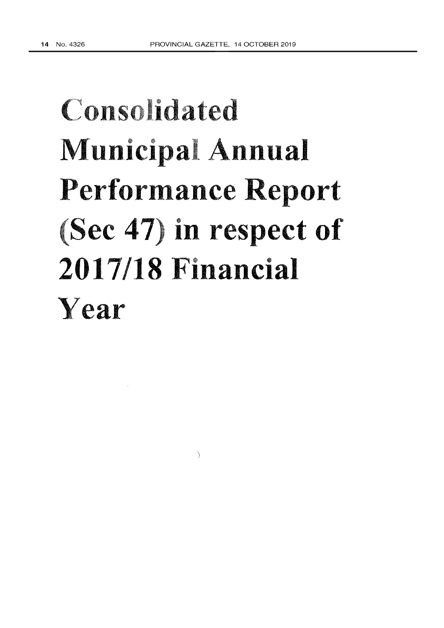# Consolidated **Municipal Annual Performance Report**  (Sec **47) in respect of 201.7/1.8 Financial Year**

 $\lambda$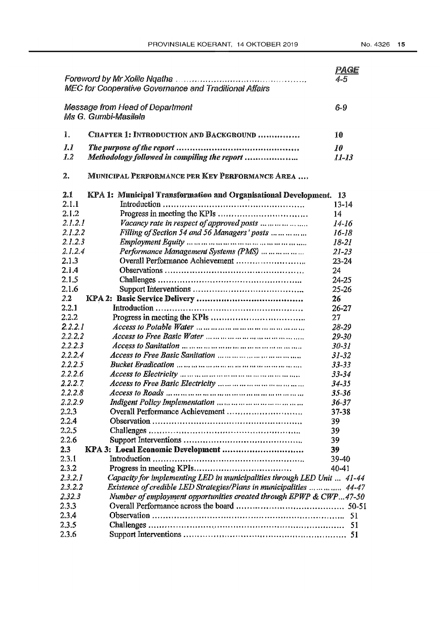| PAGE<br>4-5<br>MEC for Cooperative Governance and Traditional Affairs |                                                                                                      |           |  |  |  |
|-----------------------------------------------------------------------|------------------------------------------------------------------------------------------------------|-----------|--|--|--|
| Message from Head of Department<br>$6-9$<br>Ms G. Gumbi-Masilela      |                                                                                                      |           |  |  |  |
| 1.                                                                    | CHAPTER 1: INTRODUCTION AND BACKGROUND                                                               |           |  |  |  |
| 1.1                                                                   |                                                                                                      |           |  |  |  |
| 1.2                                                                   | Methodology followed in compiling the report                                                         | $11 - 13$ |  |  |  |
| 2.                                                                    | MUNICIPAL PERFORMANCE PER KEY PERFORMANCE AREA                                                       |           |  |  |  |
| 2.1                                                                   | KPA 1: Municipal Transformation and Organisational Development. 13                                   |           |  |  |  |
| 2.1.1                                                                 |                                                                                                      | $13 - 14$ |  |  |  |
| 2.1.2                                                                 |                                                                                                      | 14        |  |  |  |
| 2.1.2.1                                                               | Vacancy rate in respect of approved posts                                                            | $14 - 16$ |  |  |  |
| 2.1.2.2                                                               | Filling of Section 54 and 56 Managers' posts                                                         | $16 - 18$ |  |  |  |
| 2.1.2.3                                                               |                                                                                                      | $18 - 21$ |  |  |  |
| 2.1.2.4                                                               | Performance Management Systems (PMS)                                                                 | $21 - 23$ |  |  |  |
| 2.1.3                                                                 | Overall Performance Achievement                                                                      | 23-24     |  |  |  |
| 2.1.4                                                                 |                                                                                                      | 24        |  |  |  |
| 2.1.5                                                                 |                                                                                                      | $24 - 25$ |  |  |  |
| 2.1.6                                                                 |                                                                                                      | 25-26     |  |  |  |
| 2.2                                                                   |                                                                                                      | 26        |  |  |  |
| 2.2.1                                                                 |                                                                                                      | $26 - 27$ |  |  |  |
| 2.2.2                                                                 |                                                                                                      | 27        |  |  |  |
| 2.2.2.1                                                               |                                                                                                      | 28-29     |  |  |  |
| 2.2.2.2                                                               | Access to Free Basic Water $\dots \dots \dots \dots \dots \dots \dots \dots \dots \dots \dots$       | $29 - 30$ |  |  |  |
| 2.2.2.3                                                               | Access to Sanitation $\dots \dots \dots \dots \dots \dots \dots \dots \dots \dots \dots \dots \dots$ | $30 - 31$ |  |  |  |
| 2, 2, 2, 4                                                            |                                                                                                      | $31 - 32$ |  |  |  |
| 2.2.2.5                                                               |                                                                                                      |           |  |  |  |
| 2.2.2.6                                                               |                                                                                                      | $33 - 33$ |  |  |  |
|                                                                       |                                                                                                      | $33 - 34$ |  |  |  |
| 2227                                                                  |                                                                                                      | $34 - 35$ |  |  |  |
| 2.2.2.8                                                               | Access to Roads manumum manumum manumum men                                                          | $35 - 36$ |  |  |  |
| 2.2.2.9                                                               |                                                                                                      | $36 - 37$ |  |  |  |
| 2.2.3                                                                 | Overall Performance Achievement                                                                      | $37 - 38$ |  |  |  |
| 2.2.4                                                                 |                                                                                                      | 39        |  |  |  |
| 2.2.5                                                                 |                                                                                                      | 39        |  |  |  |
| 2.2.6                                                                 |                                                                                                      | 39        |  |  |  |
| $2.3\phantom{0}$                                                      | KPA 3: Local Economic Development                                                                    | 39        |  |  |  |
| 2,3.1                                                                 |                                                                                                      | 39-40     |  |  |  |
| 2.3.2                                                                 |                                                                                                      | $40 - 41$ |  |  |  |
| 2.3.2.1                                                               | Capacity for implementing LED in municipalities through LED Unit  41-44                              |           |  |  |  |
| 2.3.2.2                                                               | Existence of credible LED Strategies/Plans in municipalities  44-47                                  |           |  |  |  |
| 2.32.3                                                                | Number of employment opportunities created through EPWP & CWP47-50                                   |           |  |  |  |
| 2.3.3                                                                 |                                                                                                      |           |  |  |  |
| 2.3.4                                                                 |                                                                                                      |           |  |  |  |
| 2.3.5                                                                 |                                                                                                      | 51        |  |  |  |
| 2.3.6                                                                 |                                                                                                      |           |  |  |  |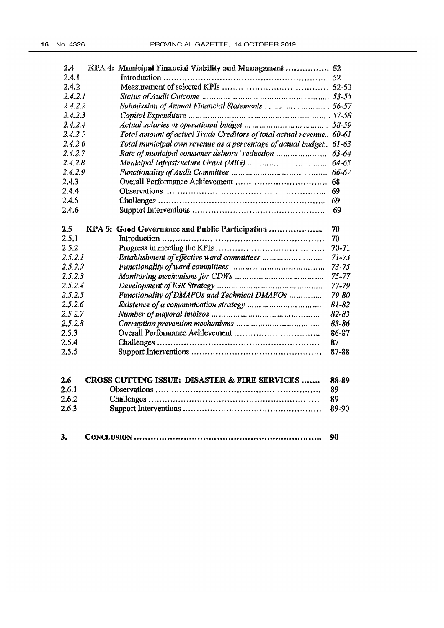| 2.4      | KPA 4: Municipal Financial Viability and Management  52              |           |
|----------|----------------------------------------------------------------------|-----------|
| 2.4.1    |                                                                      | 52        |
| 2.4.2    |                                                                      |           |
| 2.4.2.1  |                                                                      |           |
| 2.4.2.2  | Submission of Annual Financial Statements         56-57              |           |
| 2.4.2.3  |                                                                      |           |
| 2.4.2.4  |                                                                      |           |
| 2,4.2.5  | Total amount of actual Trade Creditors of total actual revenue 60-61 |           |
| 2.4, 2.6 | Total municipal own revenue as a percentage of actual budget         | $61 - 63$ |
| 2.4.2.7  |                                                                      | 63-64     |
| 2.4.2.8  |                                                                      | 64-65     |
| 2.4.2.9  |                                                                      | 66-67     |
| 2.4.3    |                                                                      | 68        |
| 2.4.4    |                                                                      | 69        |
| 2.4.5    |                                                                      | 69        |
| 2.4.6    |                                                                      | 69        |
|          |                                                                      |           |
| 2.5      | KPA 5: Good Governance and Public Participation                      | 70        |
| 2.5.1    |                                                                      | 70        |
| 2.5.2    |                                                                      | 70-71     |
| 2.5.2.1  | Establishment of effective ward committees                           | $71 - 73$ |
| 2.5.2.2  |                                                                      | $73 - 75$ |
| 2.5.2.3  |                                                                      | $75 - 77$ |
| 2.5.2.4  |                                                                      | 77-79     |
| 2.5.2.5  | Functionality of DMAFOs and Technical DMAFOs                         | 79-80     |
| 2.5.2.6  | Existence of a communication strategy                                | $81 - 82$ |
| 2.5.2.7  |                                                                      | 82-83     |
| 2.5.2.8  |                                                                      | 83-86     |
| 2.5.3    | Overall Performance Achievement                                      | 86-87     |
| 2.5.4    |                                                                      | 87        |
| 2.5.5    |                                                                      | 87-88     |
|          |                                                                      |           |
|          |                                                                      |           |
| 2.6      | <b>CROSS CUTTING ISSUE: DISASTER &amp; FIRE SERVICES </b>            | 88-89     |
| 2.6.1    |                                                                      | 89        |
| 2.6.2    |                                                                      | 89        |
| 2.6.3    |                                                                      | 89-90     |
|          |                                                                      |           |
|          |                                                                      |           |

**3. CONCLUSION •••.• , .............. " ....... II •••••• Plt ..... a-iII ..................... IIO •••••• ".......... 90**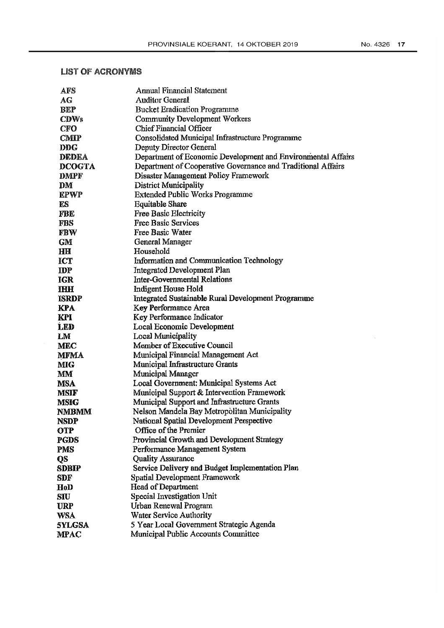# LIST Of ACRONYMS

| afs              | Annual Financial Statement                                   |
|------------------|--------------------------------------------------------------|
| AG               | <b>Auditor General</b>                                       |
| BEP              | <b>Bucket Eradication Programme</b>                          |
| CDW <sub>5</sub> | <b>Community Development Workers</b>                         |
| <b>CFO</b>       | <b>Chief Financial Officer</b>                               |
| <b>CMIP</b>      | <b>Consolidated Municipal Infrastructure Programme</b>       |
| <b>DDG</b>       | Deputy Director General                                      |
| <b>DEDEA</b>     | Department of Economic Development and Environmental Affairs |
| <b>DCOGTA</b>    | Department of Cooperative Governance and Traditional Affairs |
| <b>DMPF</b>      | <b>Disaster Management Policy Framework</b>                  |
| DM               | <b>District Municipality</b>                                 |
| <b>EPWP</b>      | <b>Extended Public Works Programme</b>                       |
| ES               | <b>Equitable Share</b>                                       |
| <b>FBE</b>       | Free Basic Electricity                                       |
| <b>FBS</b>       | <b>Free Basic Services</b>                                   |
| FBW              | Free Basic Water                                             |
| GM               | General Manager                                              |
| H <sub>H</sub>   | Household                                                    |
| <b>ICT</b>       | Information and Communication Technology                     |
| $\mathbf{DP}$    | Integrated Development Plan                                  |
| <b>IGR</b>       | <b>Inter-Governmental Relations</b>                          |
| <b>IHH</b>       | Indigent House Hold                                          |
| <b>ISRDP</b>     | Integrated Sustainable Rural Development Programme           |
| <b>KPA</b>       | Key Performance Area                                         |
| KPI              | Key Performance Indicator                                    |
| <b>LED</b>       | Local Economic Development                                   |
| LM               | Local Municipality                                           |
| <b>MEC</b>       | Member of Executive Council                                  |
| <b>MFMA</b>      | Municipal Financial Management Act                           |
| <b>MIG</b>       | Municipal Infrastructure Grants                              |
| МM               | Municipal Manager                                            |
| <b>MSA</b>       | Local Government: Municipal Systems Act                      |
| MSIF             | Municipal Support & Intervention Framework                   |
| <b>MSIG</b>      | Municipal Support and Infrastructure Grants                  |
| <b>NMBMM</b>     | Nelson Mandela Bay Metropolitan Municipality                 |
| NSDP             | National Spatial Development Perspective                     |
| <b>OTP</b>       | Office of the Premier                                        |
| PGDS             | Provincial Growth and Development Strategy                   |
| <b>PMS</b>       | Performance Management System                                |
| QS               | <b>Quality Assurance</b>                                     |
| SDBIP            | Service Delivery and Budget Implementation Plan              |
| <b>SDF</b>       | Spatial Development Framework                                |
| ${\bf HoD}$      | <b>Head of Department</b>                                    |
| SIU              | Special Investigation Unit                                   |
| URP              | Urban Renewal Program                                        |
| WSA              | Water Service Authority                                      |
| <b>SYLGSA</b>    | 5 Year Local Government Strategic Agenda                     |
| MPAC             | Municipal Public Accounts Committee                          |
|                  |                                                              |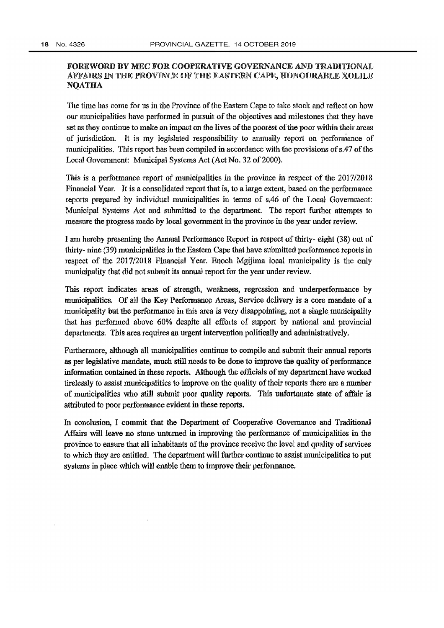# FOREWORD BY MEC FOR COOPERATIVE GOVERNANCE AND TRADITIONAL AFFAIRS IN THE PROVINCE OF THE EASTERN CAPE, HONOURABLE XOLILE **NOATHA**

The time has come for us in the Province of the Eastern Cape to take stock and reflect on how our municipalities have performed in pursuit of the objectives and milestones that they have set as they continue to make an impact on the lives of the poorest of the poor within their areas of jurisdiction. It is my legislated responsibility to annually report on perl'omiance of municipalities. This report has been compiled in accordance with the provisions of s.47 of the Local Government: Municipal Systems Act (Act No. 32 of 2000).

This is a performance report of municipalities in the province in respect of the 2017/2018 Financial Year. It is a consolidated report that is, to a large extent, based on the performance reports prepared by individual municipalities in tenus of 8.46 of the Local Government: Municipal Systems Act and submitted to the department. The report further attempts to measure the progress made by local government in the province in the year under review.

I am hereby presenting the Annual Performance Report in respect of thirty- eight (38) out of thirty-nine (39) municipalities in the Eastern Cape that have submitted performance reports in respect of the 2017/2018 Financial Year. Enoch Mgijima local municipality is the only municipality that did not submit its annual report for the year under review.

This report indicates areas of strength, weakness, regression and underperformance by municipalities. Of all the Key Performance Areas, Service delivery is a core mandate of a municipality but the performance in this area is very disappointing, not a single municipality that has performed above 60% despite all efforts of support by national and provincial departments-. *This* area requires an urgent intervention politically and administratively,

Furthermore, although all municipalities continue to compile and submit their annual reports as per legislative mandate. much still needs to be done to improve the quality of performance information contained in these reports. Although the officials of my department have worked tirelessly to assist municipalities to improve on the quality of their reports there are a number of municipalities who still submit poor quality reports. This unfortunate state of affair is attributed to poor performance evident in these reports.

In conclusion, I commit that the Department of Cooperative Governance and Traditional Affairs will leave no stone unturned in improving the performance of municipalities in the province to ensure that all inhabitants of the province receive the level and quality of services to which they are entitled. The department will further continue to assist municipalities to put systems in place which will enable them to improve their performance.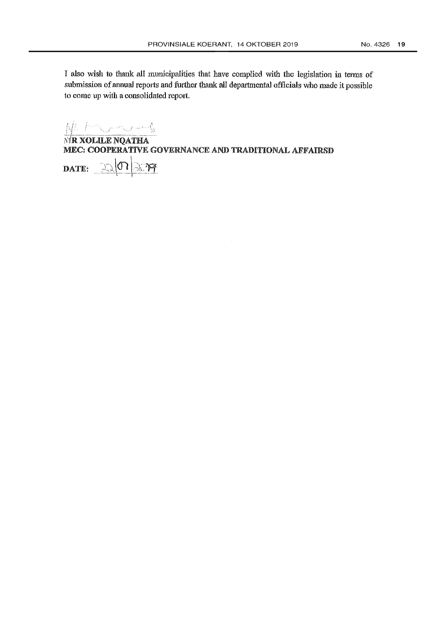I also wish 10 thank all municipalities that have complied with the legislation in tenns of submission of annual reports and further thank all departmental officials who made it possible to come up with a consolidated report

 ${\mathbb W}$  /  $\sim$ 

 $\overline{\text{N}}$ R XOLILE NQATHA MEC: COOPERATIVE GOVERNANCE AND TRADITIONAL AFFAIRSD

DATE:  $\mathbb{Q}|\mathcal{D}|$  x  $\gamma$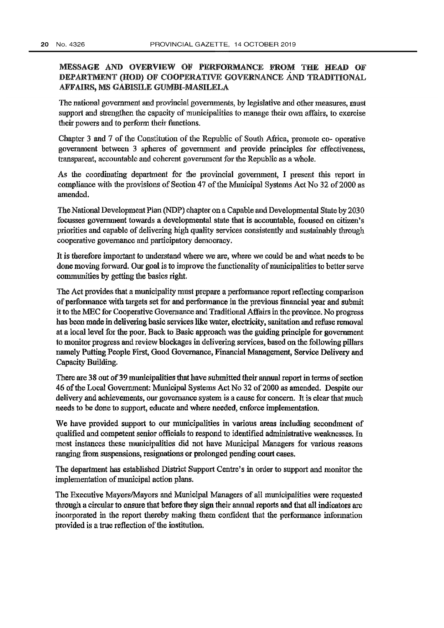# MESSAGE AND OVERVIEW OF PERFORMANCE FROM THE HEAD OF DEPARTMENT (HOD) OF COOPERATIVE GOVERNANCE AND TRADITIONAL AFFAIRS, MS GABISILE GUMBI-MASILELA

The national government and provincial governments, by legislative and other measures, must support and strengthen the capacity of municipalities to manage their own affairs, to exercise their powers and to perform their functions.

Chapter 3 and 7 of the Constitution of the Republic of South Africa, promote co- operative government between 3 spheres of government and provide principles for effectiveness, transparent, accountable and coherent government for the Republic as a whole.

As the coordinating department for the provincial government, I present this report in compliance with the provisions of Section 47 of the Municipal Systems Act No 32 of 2000 as amended.

The National Development Plan (NDP) chapter on a Capable and Developmental State by 2030 focusses government towards a developmental state that is accountable, focused on citizen's priorities and capable of delivering high quality services consistently and sustainahly through cooperative governance and participatory democracy.

It is therefore important to understand where we are, where we could be and what needs to be done moving forward. Our goal is to improve the functionality of municipalities to better serve communities by getting the basics right

The Act provides that a municipality must prepare a performance report reflecting comparison of performance with targets set for and performance in the previous firumcial year and submit it to the MEC for Cooperative Governance and Traditional Affairs in the province. No progress has been made in delivering basic services like water, electricity. sanitation and refuse removal at a local level for the poor. Back to Basic approach was the guiding principle for government to monitor progress and review blockages in delivering services, based on the following pillars namely Putting People First, Good Governance, Financial Management, Service Delivery and Capacity Building.

There are 38 out of.39 municipalities that have submitted their annual report in terms of section 46 of the Local Government: Municipal Systems Act No 32 of 2000 as amended. Despite our delivery and achievements, our governance system is a cause for concern. It is clear that much needs to be done to support, educate and where needed, enforce implementation.

We have provided support to our municipalities in various areas including secondment of qualified and competent senior officials to respond to identified administrative weaknesses. In most instances these municipalities did not have Municipal Managers for various reasons ranging from suspensions, resignations or prolonged pending court cases.

The department has established District Support Centre's in order to support and monitor the implementation of municipal action plans.

The Executive Mayors/Mayors and Municipal Managers of all municipalities were requested through a circular to ensure that before they sign their annual reports and that all indicators are incorporated in the report thereby making them confident that the performance information provided is a true reflection of the institution.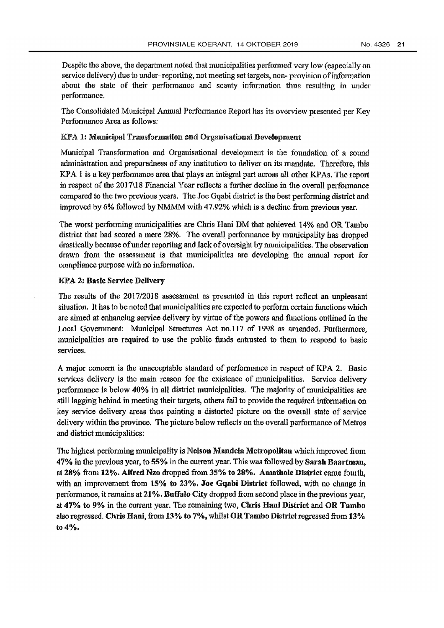Despite the above, the department noted that municipalities performed very low (especially on service delivery) due to under-reporting, not meeting set targets, non- provision of information about the state of their perfonnance and scanty information thus resulting in under perfonnance.

The Consolidated Municipal Annual Perfonnance Report has its overview presented per Key Performance Area as follows:

# KPA 1: Municipal Transformation and Organisational Development

Municipal Transformation and Organisational development is the foundation of a sound administration and preparedness of any institution to deliver on its mandate. Therefore, this KPA 1 is a key performance area that plays an integral part across all other KPAs. The report in respect of the 2017\18 Financial Year reflects a further decline in the overall perfonnance compared to the two previous years. The Joe Gqabi district is the best perfonning district and improved by 6% followed by NMMM with 47.92 % which is a decline from previous year.

The worst performing municipalities are Chris Hani DM that achieved 14% and OR Tambo district that had scored a mere 28%. The overall performance by municipality has dropped drastically because of under reporting and lack of oversight by municipalities, The observation drawn from the assessment is that municipalities are developing the annual report for compliance purpose with no information.

#### KPA 2: Basic Service Delivery

The results of the 2017/2018 assessment as presented in this report reflect an unpleasant situation. It has to be noted that municipalities are expected to perform certain functions which are aimed at enhancing service delivery by virtue of the powers and functions outlined in the Local Government: Municipal Structures Act no.117 of 1998 as amended. Furthermore, municipalities are required to use the public funds entrusted to them to respond to basic services.

A major concern is the unacceptable standard of performance in respect of KPA 2. Basic services delivery is the main reason for the existence of municipalities. Service delivery perfonnance is below 40% in all district municipalities. The majority of municipalities are still lagging behind in meeting their targets, others fail to provide the required information on key service delivery areas thus painting a distorted picture on the overall state of service delivery within the province. The picture below reflects on the overall perfonnance of Metros and district municipalities:

The highest perfonnmg municipality is Nelson Mandela Metropolitan which improved from 47% in the previous year, to 55% in the current year. This was followed by Sarah Baartman, at 28% from 12%. Alfred Nzo dropped from 35% to 28%. Amathole District came fourth, with an improvement from 15% to 23%. Joe Gqabi District followed; with no change in perfonnance, it remains at 21 %. Buffalo City dropped from second place in the previous year, at 47% to 9% in.the current year. The remaining two, Chris Bani District and OR Tambo also regressed. Chris Hani, from 13% to 7%, whilst OR Tambo District regressed from 13% t04%.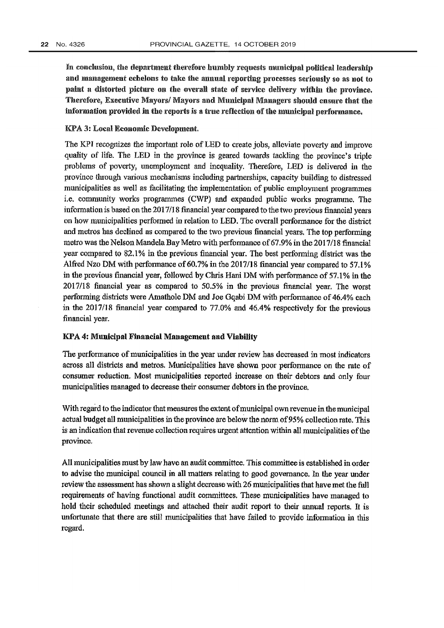In conclusion, the department therefore humbly requests municipal political leadership and management echelons to take the annual reporting processes seriously so as not to paint a distorted picture on the overall state of service delivery within tbe province. Therefore, Executive Mayorsl Mayors and Municipal Managers should ensure that the information provided in the reports is a true reflection of the municipal performance.

#### KPA 3: Local Economic Development.

The KPI recognizes the important role of LED to create jobs, alleviate poverty and improve quality of life. The LED in the province is geared towards tackling the province's triple problems of poverty, unemployment and ineqUality. Therefore, LED is delivered in the province tlrrough various mechanisms including partnerships, capacity building to distressed municipalities as well as facilitating the implementation of public employment progrannnes i.e. community works programmes (CWP) and expanded public works programme. The information is based on the 2017/18 financial year compared to the two previous financial years on how municipalities performed in relation to LED. The overall performance for the district and metros has declined as compared to the two previous financial years. The top performing metro was the Nelson Mandela Bay Metro with perfonnance of 67 .9% in the 2017118 financial year compared to 82.1 % in the previous financial year. The best perfonning district was the Alfred Nzo DM with perfonnance of 60.7% in the 2017/18 financial year compared to 57.1 % in the previous financial year, followed by Chris Hani DM with performance of 57.1% in the 2017/18 financial year as compared to 50.5% in the previous financial year. The worst performing districts were Amathole DM and Joe Gqabi DM with perfonnance of 46.4% each in the 2017/18 financial year compared to 77.0% and 46.4% respectively for the previous financial year.

#### KPA 4: Municipal Financial Management and Viability

The performance of municipalities in the year under review has decreased in most indicators across all districts and metros. Municipalities have shown poor perfonnance on the rate of consumer reduction. Most municipalities reported increase on their debtors and only four municipalities managed to decrease their consumer debtors in the province.

With regard to the indicator that measures the extent of municipal own revenue in the municipal actual budget all municipalities in the province are below the norm of95% collection rate. This is an indication that revenue collection requires urgent attention within all municipalities of the province.

All municipalities must by law have an audit committee. This committee is established in order to advise the municipal council in all matters relating to good governance. In the year under review the assessment has shown a slight decrease with 26 municipalities that have met the full requirements of having functional audit committees. These municipalities have managed to hold their scheduled meetings and attached their audit report to their annual reports. It is unfortunate that there are still municipalities that have failed to provide infonnation in this regard,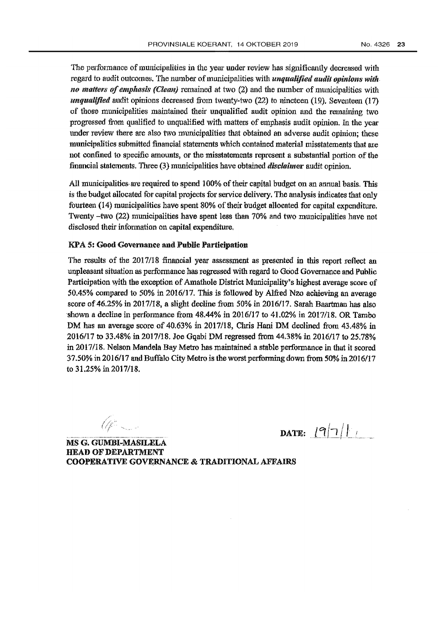The performance of municipalities in the year under review has significantly decreased with regard to audit outcomes. TIle number of municipalities with *unqualified audit opinums with no matters of emphasis (Clean)* remained at two (2) and the number of municipalities with *unqualified* audit opinions decreased from twenty-two (22) to nineteen (19). Seventeen (17) of those municipalities maintained their unqualified audit opinion and the remaining two progressed from qualified to unqualified with matters of emphasis audit opinion. In the year under review there are also two municipalities that obtained an adverse audit opinion; these municipalities submitted financial statements which contained material misstatements that are not confined to specific amounts, or the misstatements represent a substantial portion of the financial statements. Three (3) municipalities have obtained *discluimer* audit opinion.

All municipalities are required to spend 100% of their capital budget on an annual basis. This is the budget allocated for capital projects for service delivery. The analysis indicates that only fourteen (14) municipalities have spent 80% of their budget allocated for capital expenditure. Twenty -two (22) municipalities have spent less than 70% and two municipalities have not disclosed their information on capital expenditure.

## KPA 5: Good Governance and Public Participation

The results of the 2017/18 financial year assessment as presented in this report reflect an unpleasant situation as perfonnance has regressed with regard to Good Governance and Public Participation with the exception of Amathole District Municipality's highest average score of 50.45% compared to 50% in 2016117. This is followed by Alfred Nzo achieving an average score of 46.25% in 2017/18, a slight decline from 50% in 2016/17. Sarah Baartman has also 'shown a decline in perfonnance from 48.44% in 2016/17 to 41.02% in 2017/18. OR Tambo DM has an average score of  $40.63\%$  in 2017/18, Chris Hani DM declined from  $43.48\%$  in 2016/17 to 33.48% in 2017118. Joe Gqabi DM regressed from 44.38% in 2016117 to 25.78% in 2017118. Nelson Mandela Bay Metro has maintained a stable petformance in that it scored 37.50% in 2016/17 and Buffalo City Metro is the worst perfonning down from 50% in 2016117 to 31,25% in 2017/18.

 $\mathscr{C}$  .

DATE:  $|9|7|$ 

MS G. GUMBI-MASILELA HEAD OF DEPARTMENT COOPERATIVE GOVERNANCE & TRADITIONAL AFFAIRS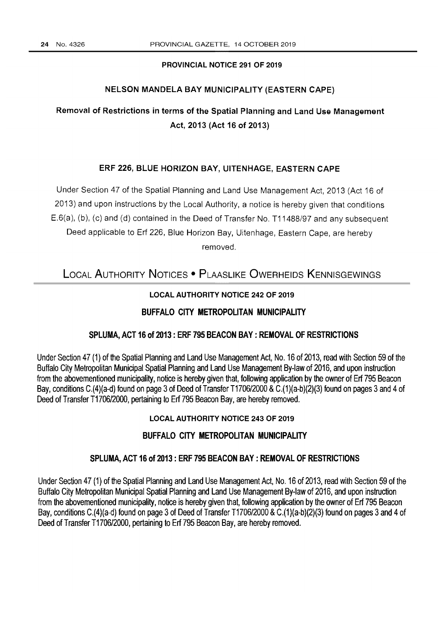#### PROVINCIAL NOTICE 291 OF 2019

# NELSON MANDELA BAY MUNICIPALITY (EASTERN CAPE)

# Removal of Restrictions in terms of the Spatial Planning and Land Use Management Act, 2013 (Act 16 of 2013)

# ERF 226, BLUE HORIZON BAY, UITENHAGE, EASTERN CAPE

Under Section 47 of the Spatial Planning and Land Use Management Act, 2013 (Act 16 of 2013) and upon instructions by the Local Authority, a notice is hereby given that conditions E.6(a), (b), (c) and (d) contained in the Deed of Transfer No. T11488/97 and any subsequent Deed applicable to Erf 226, Blue Horizon Bay, Uitenhage, Eastern Cape, are hereby removed.

# LOCAL AUTHORITY NOTICES • PLAASLIKE OWERHEIDS KENNISGEWINGS

# LOCAL AUTHORITY NOTICE 242 OF 2019

# BUFFALO CITY METROPOLITAN MUNICIPALITY

#### SPLUMA, ACT 16 of 2013 : ERF 795 BEACON BAY: REMOVAL OF RESTRICTIONS

Under Section 47 (1) of the Spatial Planning and Land Use Management Act, No. 16 of 2013, read with Section 59 of the Buffalo City Metropolitan Municipal Spatial Planning and Land Use Management By-law of 2016, and upon instruction from the abovementioned municipality, notice is hereby given that, following application by the owner of Erf 795 Beacon Bay, conditions C.(4)(a-d) found on page 3 of Deed of Transfer T1706/2000 & C.(1)(a-b)(2}(3} found on pages 3 and 4 of Deed of Transfer T1706/2000, pertaining to Erf 795 Beacon Bay, are hereby removed.

# LOCAL AUTHORITY NOTICE 243 OF 2019

# BUFFALO CITY METROPOLITAN MUNICIPALITY

# SPLUMA, ACT 16 of 2013 : ERF 795 BEACON BAY: REMOVAL OF RESTRICTIONS

Under Section 47 (1) of the Spatial Planning and Land Use Management Act, No. 16 of 2013, read with Section 59 of the Buffalo City Metropolitan Municipal Spatial Planning and Land Use Management By-law of 2016, and upon instruction from the abovementioned municipality, notice is hereby given that, following application by the owner of Erf 795 Beacon Bay, conditions C.(4}(a-d) found on page 3 of Deed of Transfer T1706/2000 & C.(1 }(a-b}(2)(3) found on pages 3 and 4 of Deed of Transfer T1706/2000, pertaining to Erf 795 Beacon Bay, are hereby removed.